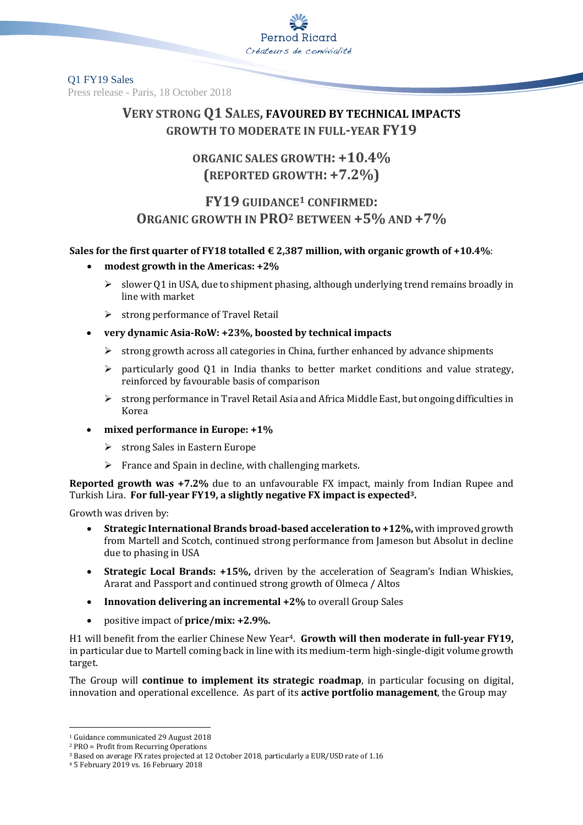Q1 FY19 Sales Press release - Paris, 18 October 2018

# **VERY STRONG Q1 SALES, FAVOURED BY TECHNICAL IMPACTS GROWTH TO MODERATE IN FULL-YEAR FY19**

Pernod Ricard Créateurs de convivialité

# **ORGANIC SALES GROWTH: +10.4% (REPORTED GROWTH: +7.2%)**

# **FY19 GUIDANCE<sup>1</sup> CONFIRMED: ORGANIC GROWTH IN PRO<sup>2</sup> BETWEEN +5% AND +7%**

# Sales for the first quarter of FY18 totalled  $\epsilon$  2,387 million, with organic growth of +10.4%:

- **modest growth in the Americas: +2%**
	- $\triangleright$  slower Q1 in USA, due to shipment phasing, although underlying trend remains broadly in line with market
	- ➢ strong performance of Travel Retail
- **very dynamic Asia-RoW: +23%, boosted by technical impacts**
	- $\triangleright$  strong growth across all categories in China, further enhanced by advance shipments
	- ➢ particularly good Q1 in India thanks to better market conditions and value strategy, reinforced by favourable basis of comparison
	- $\triangleright$  strong performance in Travel Retail Asia and Africa Middle East, but ongoing difficulties in Korea
- **mixed performance in Europe: +1%**
	- ➢ strong Sales in Eastern Europe
	- $\triangleright$  France and Spain in decline, with challenging markets.

**Reported growth was +7.2%** due to an unfavourable FX impact, mainly from Indian Rupee and Turkish Lira. **For full-year FY19, a slightly negative FX impact is expected3.**

Growth was driven by:

- **Strategic International Brands broad-based acceleration to +12%,** with improved growth from Martell and Scotch, continued strong performance from Jameson but Absolut in decline due to phasing in USA
- **Strategic Local Brands: +15%,** driven by the acceleration of Seagram's Indian Whiskies, Ararat and Passport and continued strong growth of Olmeca / Altos
- **Innovation delivering an incremental +2%** to overall Group Sales
- positive impact of **price/mix: +2.9%.**

H1 will benefit from the earlier Chinese New Year4. **Growth will then moderate in full-year FY19,**  in particular due to Martell coming back in line with its medium-term high-single-digit volume growth target.

The Group will **continue to implement its strategic roadmap**, in particular focusing on digital, innovation and operational excellence. As part of its **active portfolio management**, the Group may

<sup>1</sup> Guidance communicated 29 August 2018

<sup>2</sup> PRO = Profit from Recurring Operations

<sup>3</sup> Based on average FX rates projected at 12 October 2018, particularly a EUR/USD rate of 1.16

<sup>4</sup> 5 February 2019 vs. 16 February 2018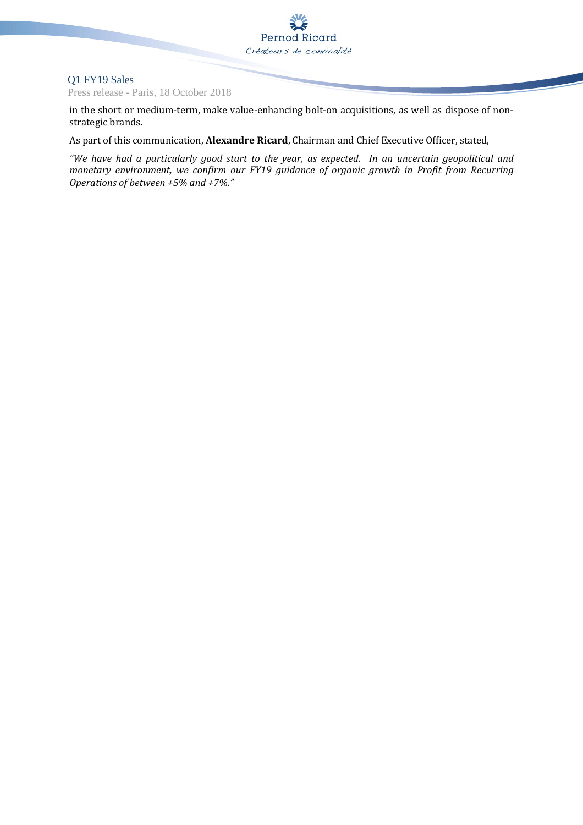

## Q1 FY19 Sales

Press release - Paris, 18 October 2018

in the short or medium-term, make value-enhancing bolt-on acquisitions, as well as dispose of nonstrategic brands.

As part of this communication, **Alexandre Ricard**, Chairman and Chief Executive Officer, stated,

*"We have had a particularly good start to the year, as expected. In an uncertain geopolitical and monetary environment, we confirm our FY19 guidance of organic growth in Profit from Recurring Operations of between +5% and +7%."*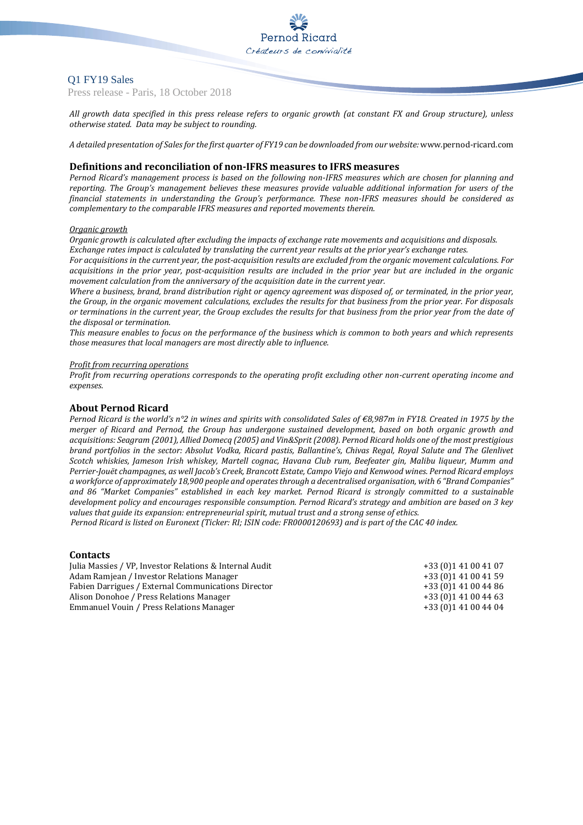## Q1 FY19 Sales

Press release - Paris, 18 October 2018

*All growth data specified in this press release refers to organic growth (at constant FX and Group structure), unless otherwise stated. Data may be subject to rounding.*

*A detailed presentation of Sales for the first quarter of FY19 can be downloaded from our website:* [www.pernod-ricard.com](http://www.pernod-ricard.com/)

### **Definitions and reconciliation of non-IFRS measures to IFRS measures**

*Pernod Ricard's management process is based on the following non-IFRS measures which are chosen for planning and reporting. The Group's management believes these measures provide valuable additional information for users of the financial statements in understanding the Group's performance. These non-IFRS measures should be considered as complementary to the comparable IFRS measures and reported movements therein.*

### *Organic growth*

*Organic growth is calculated after excluding the impacts of exchange rate movements and acquisitions and disposals. Exchange rates impact is calculated by translating the current year results at the prior year's exchange rates.*

*For acquisitions in the current year, the post-acquisition results are excluded from the organic movement calculations. For acquisitions in the prior year, post-acquisition results are included in the prior year but are included in the organic movement calculation from the anniversary of the acquisition date in the current year.*

*Where a business, brand, brand distribution right or agency agreement was disposed of, or terminated, in the prior year, the Group, in the organic movement calculations, excludes the results for that business from the prior year. For disposals or terminations in the current year, the Group excludes the results for that business from the prior year from the date of the disposal or termination.*

*This measure enables to focus on the performance of the business which is common to both years and which represents those measures that local managers are most directly able to influence.*

#### *Profit from recurring operations*

*Profit from recurring operations corresponds to the operating profit excluding other non-current operating income and expenses.*

### **About Pernod Ricard**

*Pernod Ricard is the world's n°2 in wines and spirits with consolidated Sales of €8,987m in FY18. Created in 1975 by the merger of Ricard and Pernod, the Group has undergone sustained development, based on both organic growth and acquisitions: Seagram (2001), Allied Domecq (2005) and Vin&Sprit (2008). Pernod Ricard holds one of the most prestigious brand portfolios in the sector: Absolut Vodka, Ricard pastis, Ballantine's, Chivas Regal, Royal Salute and The Glenlivet Scotch whiskies, Jameson Irish whiskey, Martell cognac, Havana Club rum, Beefeater gin, Malibu liqueur, Mumm and Perrier-Jouët champagnes, as well Jacob's Creek, Brancott Estate, Campo Viejo and Kenwood wines. Pernod Ricard employs a workforce of approximately 18,900 people and operates through a decentralised organisation, with 6 "Brand Companies" and 86 "Market Companies" established in each key market. Pernod Ricard is strongly committed to a sustainable development policy and encourages responsible consumption. Pernod Ricard's strategy and ambition are based on 3 key values that guide its expansion: entrepreneurial spirit, mutual trust and a strong sense of ethics.*

*Pernod Ricard is listed on Euronext (Ticker: RI; ISIN code: FR0000120693) and is part of the CAC 40 index.*

### **Contacts**

| Julia Massies / VP, Investor Relations & Internal Audit | +33 (0) 141 00 41 07 |
|---------------------------------------------------------|----------------------|
| Adam Ramjean / Investor Relations Manager               | +33 (0) 141 00 41 59 |
| Fabien Darrigues / External Communications Director     | +33 (0) 141 00 44 86 |
| Alison Donohoe / Press Relations Manager                | +33 (0) 141 00 44 63 |
| Emmanuel Vouin / Press Relations Manager                | +33 (0) 141 00 44 04 |